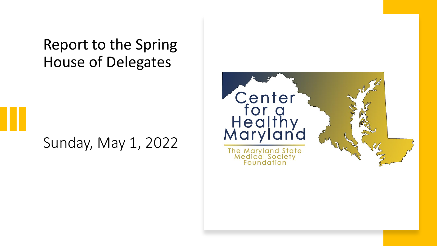Report to the Spring House of Delegates

#### Sunday, May 1, 2022

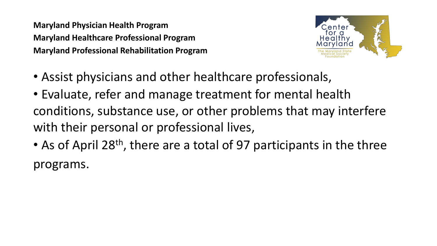**Maryland Physician Health Program Maryland Healthcare Professional Program Maryland Professional Rehabilitation Program**



- Assist physicians and other healthcare professionals,
- Evaluate, refer and manage treatment for mental health conditions, substance use, or other problems that may interfere with their personal or professional lives,
- As of April 28<sup>th</sup>, there are a total of 97 participants in the three programs.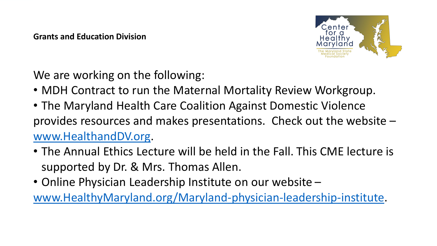

We are working on the following:

- MDH Contract to run the Maternal Mortality Review Workgroup.
- The Maryland Health Care Coalition Against Domestic Violence provides resources and makes presentations. Check out the website – [www.HealthandDV.org](http://www.healthanddv.org/).
- The Annual Ethics Lecture will be held in the Fall. This CME lecture is supported by Dr. & Mrs. Thomas Allen.
- Online Physician Leadership Institute on our website [www.HealthyMaryland.org/Maryland-physician-leadership-institute](https://healthymaryland.org/maryland-physician-leadership-institute/).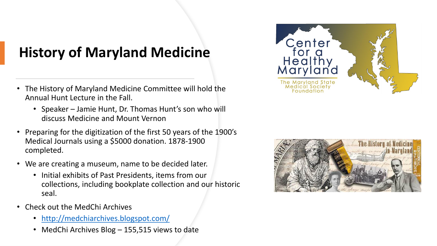### **History of Maryland Medicine**

- The History of Maryland Medicine Committee will hold the Annual Hunt Lecture in the Fall.
	- Speaker Jamie Hunt, Dr. Thomas Hunt's son who will discuss Medicine and Mount Vernon
- Preparing for the digitization of the first 50 years of the 1900's Medical Journals using a \$5000 donation. 1878-1900 completed.
- We are creating a museum, name to be decided later.
	- Initial exhibits of Past Presidents, items from our collections, including bookplate collection and our historic seal.
- Check out the MedChi Archives
	- <http://medchiarchives.blogspot.com/>
	- MedChi Archives Blog 155,515 views to date



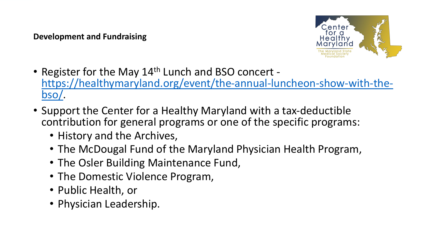**Development and Fundraising**



- Register for the May 14<sup>th</sup> Lunch and BSO concert [https://healthymaryland.org/event/the-annual-luncheon-show-with-the](https://healthymaryland.org/event/the-annual-luncheon-show-with-the-bso/)bso/.
- Support the Center for a Healthy Maryland with a tax-deductible contribution for general programs or one of the specific programs:
	- History and the Archives,
	- The McDougal Fund of the Maryland Physician Health Program,
	- The Osler Building Maintenance Fund,
	- The Domestic Violence Program,
	- Public Health, or
	- Physician Leadership.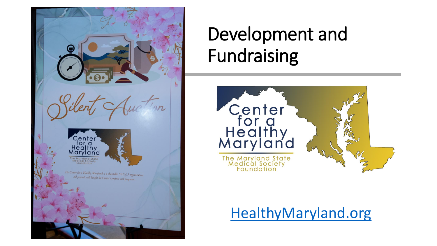Center<br>for a<br>Healthy Maryland The Center for a Healthy Maryland is a charitable  $501(c)3$  organization. All proceeds will benefit the Center's projects and programs.

# Development and Fundraising



### [HealthyMaryland.org](http://healthymaryland.org/)